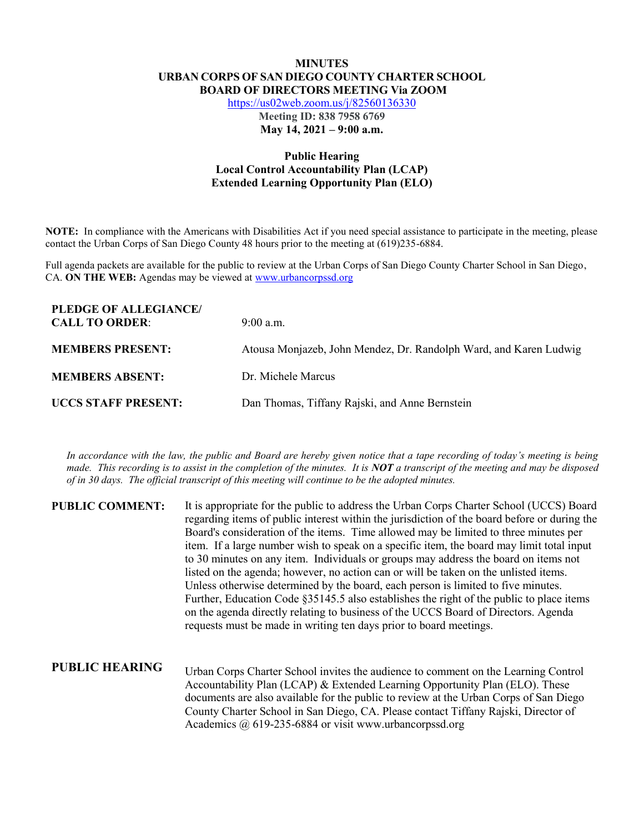## **MINUTES URBAN CORPS OF SAN DIEGO COUNTY CHARTER SCHOOL BOARD OF DIRECTORS MEETING Via ZOOM**

https://us02web.zoom.us/j/82560136330

**Meeting ID: 838 7958 6769 May 14, 2021 – 9:00 a.m.**

## **Public Hearing Local Control Accountability Plan (LCAP) Extended Learning Opportunity Plan (ELO)**

**NOTE:** In compliance with the Americans with Disabilities Act if you need special assistance to participate in the meeting, please contact the Urban Corps of San Diego County 48 hours prior to the meeting at (619)235-6884.

Full agenda packets are available for the public to review at the Urban Corps of San Diego County Charter School in San Diego, CA. **ON THE WEB:** Agendas may be viewed at www.urbancorpssd.org

| PLEDGE OF ALLEGIANCE/<br><b>CALL TO ORDER:</b> | $9:00$ a.m.                                                       |
|------------------------------------------------|-------------------------------------------------------------------|
| <b>MEMBERS PRESENT:</b>                        | Atousa Monjazeb, John Mendez, Dr. Randolph Ward, and Karen Ludwig |
| <b>MEMBERS ABSENT:</b>                         | Dr. Michele Marcus                                                |
| <b>UCCS STAFF PRESENT:</b>                     | Dan Thomas, Tiffany Rajski, and Anne Bernstein                    |

*In accordance with the law, the public and Board are hereby given notice that a tape recording of today's meeting is being made. This recording is to assist in the completion of the minutes. It is NOT a transcript of the meeting and may be disposed of in 30 days. The official transcript of this meeting will continue to be the adopted minutes.*

| <b>PUBLIC COMMENT:</b> | It is appropriate for the public to address the Urban Corps Charter School (UCCS) Board<br>regarding items of public interest within the jurisdiction of the board before or during the<br>Board's consideration of the items. Time allowed may be limited to three minutes per<br>item. If a large number wish to speak on a specific item, the board may limit total input<br>to 30 minutes on any item. Individuals or groups may address the board on items not<br>listed on the agenda; however, no action can or will be taken on the unlisted items.<br>Unless otherwise determined by the board, each person is limited to five minutes.<br>Further, Education Code §35145.5 also establishes the right of the public to place items<br>on the agenda directly relating to business of the UCCS Board of Directors. Agenda<br>requests must be made in writing ten days prior to board meetings. |
|------------------------|----------------------------------------------------------------------------------------------------------------------------------------------------------------------------------------------------------------------------------------------------------------------------------------------------------------------------------------------------------------------------------------------------------------------------------------------------------------------------------------------------------------------------------------------------------------------------------------------------------------------------------------------------------------------------------------------------------------------------------------------------------------------------------------------------------------------------------------------------------------------------------------------------------|
| <b>PUBLIC HEARING</b>  | Urban Corps Charter School invites the audience to comment on the Learning Control<br>Accountability Plan (LCAP) & Extended Learning Opportunity Plan (ELO). These<br>documents are also available for the public to review at the Urban Corps of San Diego<br>County Charter School in San Diego, CA. Please contact Tiffany Rajski, Director of<br>Academics $\omega$ 619-235-6884 or visit www.urbancorpssd.org                                                                                                                                                                                                                                                                                                                                                                                                                                                                                       |